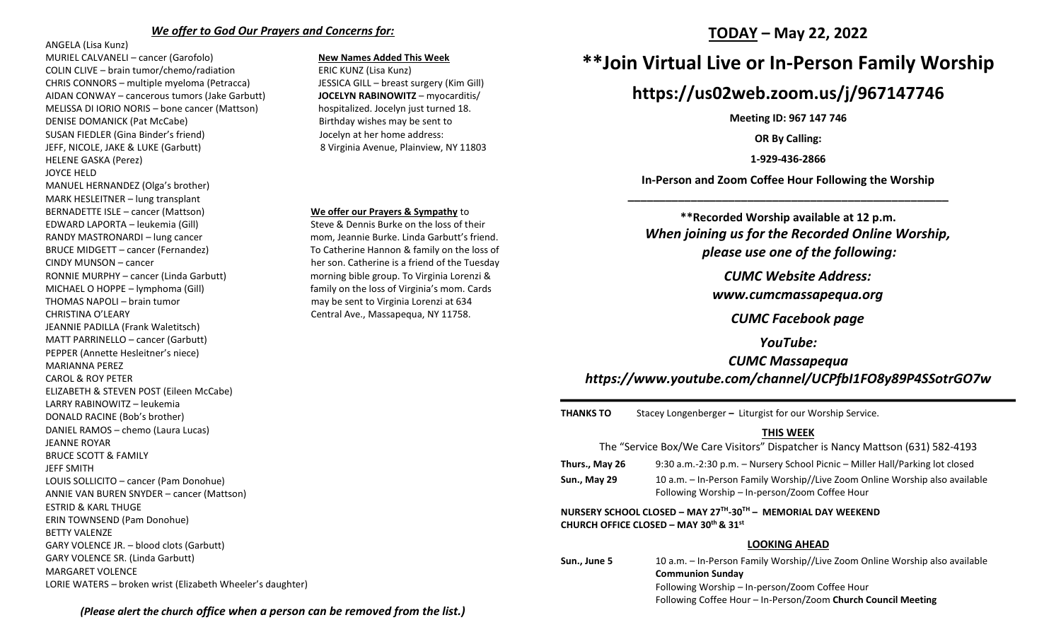#### *We offer to God Our Prayers and Concerns for:*

ANGELA (Lisa Kunz)

MURIEL CALVANELI – cancer (Garofolo) **New Names Added This Week** COLIN CLIVE – brain tumor/chemo/radiation ERIC KUNZ (Lisa Kunz) CHRIS CONNORS – multiple myeloma (Petracca) JESSICA GILL – breast surgery (Kim Gill) AIDAN CONWAY – cancerous tumors (Jake Garbutt) **JOCELYN RABINOWITZ** – myocarditis/ MELISSA DI IORIO NORIS – bone cancer (Mattson) hospitalized. Jocelyn just turned 18. DENISE DOMANICK (Pat McCabe) Birthday wishes may be sent to SUSAN FIEDLER (Gina Binder's friend) Jocelyn at her home address: JEFF, NICOLE, JAKE & LUKE (Garbutt) 8 Virginia Avenue, Plainview, NY 11803 HELENE GASKA (Perez) JOYCE HELD MANUEL HERNANDEZ (Olga's brother) MARK HESLEITNER – lung transplant BERNADETTE ISLE – cancer (Mattson) **We offer our Prayers & Sympathy** to EDWARD LAPORTA – leukemia (Gill) Steve & Dennis Burke on the loss of their RANDY MASTRONARDI – lung cancer momentum mom, Jeannie Burke. Linda Garbutt's friend. BRUCE MIDGETT – cancer (Fernandez) To Catherine Hannon & family on the loss of CINDY MUNSON – cancer her son. Catherine is a friend of the Tuesday RONNIE MURPHY – cancer (Linda Garbutt) morning bible group. To Virginia Lorenzi & MICHAEL O HOPPE – lymphoma (Gill) family on the loss of Virginia's mom. Cards THOMAS NAPOLI – brain tumor may be sent to Virginia Lorenzi at 634 CHRISTINA O'LEARY CHRISTINA O'LEARY CENTRAL CHRISTINA O'LEARY JEANNIE PADILLA (Frank Waletitsch) MATT PARRINELLO – cancer (Garbutt) PEPPER (Annette Hesleitner's niece) MARIANNA PEREZ CAROL & ROY PETER ELIZABETH & STEVEN POST (Eileen McCabe) LARRY RABINOWITZ – leukemia DONALD RACINE (Bob's brother) DANIEL RAMOS – chemo (Laura Lucas) JEANNE ROYAR BRUCE SCOTT & FAMILY JEFF SMITH LOUIS SOLLICITO – cancer (Pam Donohue) ANNIE VAN BUREN SNYDER – cancer (Mattson) ESTRID & KARL THUGE ERIN TOWNSEND (Pam Donohue) BETTY VALENZE GARY VOLENCE JR. – blood clots (Garbutt) GARY VOLENCE SR. (Linda Garbutt) MARGARET VOLENCE LORIE WATERS – broken wrist (Elizabeth Wheeler's daughter)

### **TODAY – May 22, 2022**

## **\*\*Join Virtual Live or In-Person Family Worship**

## **https://us02web.zoom.us/j/967147746**

**Meeting ID: 967 147 746**

**OR By Calling:**

**1-929-436-2866**

**In-Person and Zoom Coffee Hour Following the Worship \_\_\_\_\_\_\_\_\_\_\_\_\_\_\_\_\_\_\_\_\_\_\_\_\_\_\_\_\_\_\_\_\_\_\_\_\_\_\_\_\_\_\_\_\_\_\_\_\_\_\_**

**\*\*Recorded Worship available at 12 p.m.** *When joining us for the Recorded Online Worship, please use one of the following:*

*CUMC Website Address:*

*[www.cumcmassapequa.org](about:blank)*

*CUMC Facebook page*

*YouTube:*

*CUMC Massapequa [https://www.youtube.com/channel/UCPfbI1FO8y89P4SSotrGO7w](about:blank)*

**THANKS TO** Stacey Longenberger **–** Liturgist for our Worship Service.

### **THIS WEEK**

| The "Service Box/We Care Visitors" Dispatcher is Nancy Mattson (631) 582-4193                          |                                                                                                                               |
|--------------------------------------------------------------------------------------------------------|-------------------------------------------------------------------------------------------------------------------------------|
| Thurs., May 26                                                                                         | 9:30 a.m.-2:30 p.m. – Nursery School Picnic – Miller Hall/Parking lot closed                                                  |
| <b>Sun., May 29</b>                                                                                    | 10 a.m. – In-Person Family Worship//Live Zoom Online Worship also available<br>Following Worship – In-person/Zoom Coffee Hour |
| NURSERY SCHOOL CLOSED - MAY 27TH-30TH - MEMORIAL DAY WEEKEND<br>CHURCH OFFICE CLOSED - MAY 30th & 31st |                                                                                                                               |
| <b>LOOKING AHEAD</b>                                                                                   |                                                                                                                               |
| Sun., June 5                                                                                           | 10 a.m. - In-Person Family Worship//Live Zoom Online Worship also available<br><b>Communion Sunday</b>                        |

Following Worship – In-person/Zoom Coffee Hour Following Coffee Hour – In-Person/Zoom **Church Council Meeting**

*(Please alert the church office when a person can be removed from the list.)*